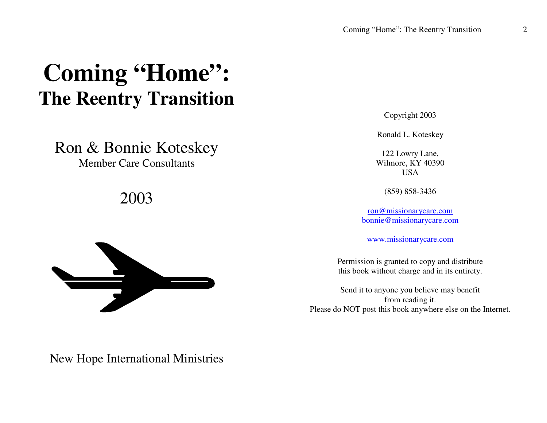# **Coming "Home": The Reentry Transition**

Ron & Bonnie Koteskey Member Care Consultants

2003



Copyright 2003

Ronald L. Koteskey

122 Lowry Lane, Wilmore, KY 40390 **USA** 

(859) 858-3436

ron@missionarycare.com bonnie@missionarycare.com

www.missionarycare.com

Permission is granted to copy and distribute this book without charge and in its entirety.

Send it to anyone you believe may benefit from reading it. Please do NOT pos<sup>t</sup> this book anywhere else on the Internet.

New Hope International Ministries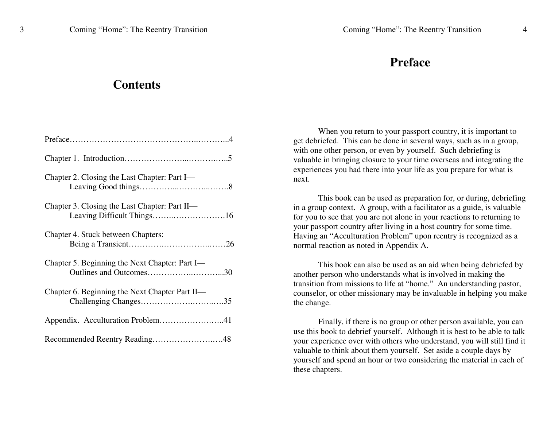## **Preface**

#### **Contents**

| Chapter 2. Closing the Last Chapter: Part I-   |
|------------------------------------------------|
| Chapter 3. Closing the Last Chapter: Part II—  |
| Chapter 4. Stuck between Chapters:             |
| Chapter 5. Beginning the Next Chapter: Part I- |
| Chapter 6. Beginning the Next Chapter Part II- |
| Appendix. Acculturation Problem41              |
| Recommended Reentry Reading48                  |

When you return to your passpor<sup>t</sup> country, it is important to ge<sup>t</sup> debriefed. This can be done in several ways, such as in <sup>a</sup> group, with one other person, or even by yourself. Such debriefing is valuable in bringing closure to your time overseas and integrating the experiences you had there into your life as you prepare for what is next.

This book can be used as preparation for, or during, debriefing in <sup>a</sup> group context. A group, with <sup>a</sup> facilitator as <sup>a</sup> guide, is valuable for you to see that you are not alone in your reactions to returning to your passpor<sup>t</sup> country after living in <sup>a</sup> host country for some time. Having an "Acculturation Problem" upon reentry is recognized as <sup>a</sup> normal reaction as noted in Appendix A.

This book can also be used as an aid when being debriefed by another person who understands what is involved in making the transition from missions to life at "home." An understanding pastor, counselor, or other missionary may be invaluable in helping you make the change.

Finally, if there is no group or other person available, you can use this book to debrief yourself. Although it is best to be able to talk your experience over with others who understand, you will still find it valuable to think about them yourself. Set aside <sup>a</sup> couple days by yourself and spend an hour or two considering the material in each of these chapters.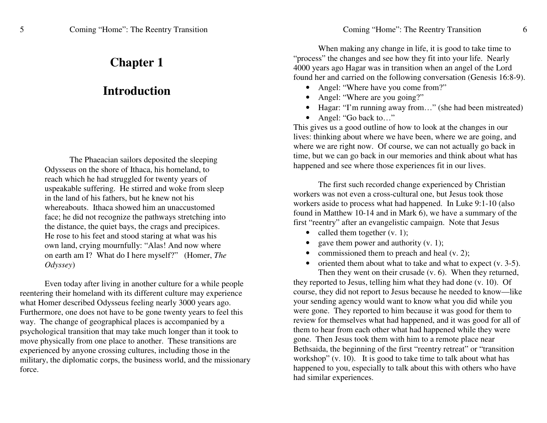## **Chap ter1**

## **Introduction**

The Phaeacian sailors deposited the sleeping Odysseus on the shore of Ithaca, his homeland, to reach which he had struggled for twenty years of usp e a k a ble sufferin g. H e stirre d a n d w o k e fro m sle e p in th e la ndof his fathers, b ut heknewnot hiswhereabouts. Ithaca showed him an unaccustomed fa c e; h e did n ot re c o g niz e th e p ath wa ys stretc hin g into the distance, the quiet bays, the crags and precipices. H e rose to his fe et a n d sto o d starin g at w h at w as his o w n la n d, cryin g m o urnfully: "Alas! A n d n o w w h ere on earth am I? What do I here myself?" (Homer, *The O dysse y*)

Even today after living in another culture for a while people reentering their homeland with its different culture may experience what Homer described Odysseus feeling nearly 3000 years ago. Furthermore, one does not have to be gone twenty years to feel this way. The change of geographical places is accompanied by a psy c h olo gic al tra nsitio n th at ma y ta k e mu c h lo n g er th a n it to o k to move physically from one place to another. These transitions are experienced by anyone crossing cultures, including those in the military, the diplomatic corps, the business world, and the missionary force.

Coming "Home": The Reentry Transition

When making any change in life, it is good to take time to "process" the changes and see how they fit into your life. Nearly 4000 years ago Hagar was in transition when an angel of the Lord found her and carried on the following conversation (Genesis 16:8-9).

- Angel: "Where have you come from?"
- Angel: "Where are you going?"
- Hagar: "I'm running away from..." (she had been mistreated)
- Angel: "Go back to..."

This gives us a good outline of how to look at the changes in our lives: thinking about where we have been, where we are going, and where we are right now. Of course, we can not actually go back in time, but we can go back in our memories and think about what has happened and see where those experiences fit in our lives.

The first such recorded change experienced by Christian workers was not even a cross-cultural one, but Jesus took those workers aside to process what had happened. In Luke 9:1-10 (also found in Matthew 10-14 and in Mark 6), we have a summary of the first "reentry" after an evangelistic campaign. Note that Jesus

- called them together  $(v, 1)$ ;
- •• gave them power and authority  $(v, 1)$ ;
- commissioned them to preach and heal  $(v, 2)$ ;
- $\bullet$ • oriented them about what to take and what to expect  $(v. 3-5)$ .

Then they went on their crusade (v. 6). When they returned, they reported to Jesus, telling him what they had done (v. 10). Of course, they did not report to Jesus because he needed to know—like your sending agency would want to know what you did while you were gone. They reported to him because it was good for them to review for themselves what had happened, and it was good for all of them to hear from each other what had happened while they were gone. Then Jesus took them with him to a remote place near Bethsaida, the beginning of the first "reentry retreat" or "transition workshop" (v. 10). It is good to take time to talk about what has happened to you, especially to talk about this with others who have had similar experiences.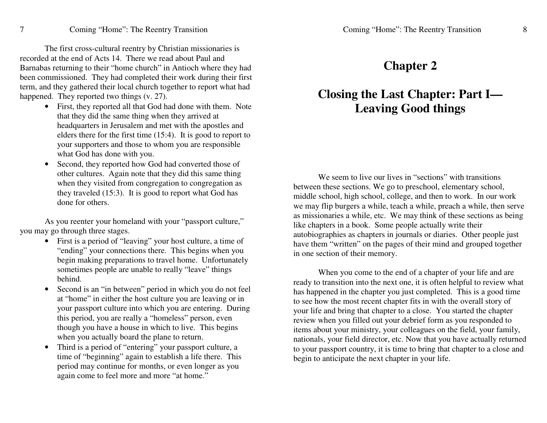T h e first cross-c ultural re e ntry b y C hristia n missio n aries is recorded at the end of Acts 14. There we read about Paul and Barnabas returning to their "home church" in Antioch where they had been commissioned. They had completed their work during their first term, and they gathered their local church together to report what had happened. They reported two things (v. 27).

- First, they reported all that God had done with them. Note that they did the same thing when they arrived at headquarters in Jerusalem and met with the apostles and elders there for the first time (15:4). It is good to report to your supporters and those to whom you are responsible what God has done with you.
- $\bullet$ • Second, they reported how God had converted those of oth er c ultures. A g ain n ote th at th e y did this sa m e thin g when they visited from congregation to congregation as they traveled (15:3). It is good to report what God has done for others.

As you reenter your homeland with your "passport culture," y o u ma y g o thro u g h thre e sta g es.

- First is a period of "leaving" your host culture, a time of "ending" your connections there. This begins when you begin making preparations to travel home. Unfortunately sometimes people are unable to really "leave" things behind.
- SSecond is an "in between" period in which you do not feel at "home" in either the host culture you are leaving or in your passport culture into which you are entering. During this period, you are really a "homeless" person, even though you have a house in which to live. This begins when you actually board the plane to return.
- $\bullet$ • Third is a period of "entering" your passport culture, a time of "beginning" again to establish a life there. This period may continue for months, or even longer as you again come to feel more and more "at home."

### **Chapter 2**

# Closing the Last Chapter: Part I— **Leaving Goodthing s**

We seem to live our lives in "sections" with transitions between these sections. We go to preschool, elementary school, middle school, high school, college, and then to work. In our work we may flip burgers a while, teach a while, preach a while, then serve as missionaries a while, etc. We may think of these sections as being like chapters in a book. Some people actually write their a uto bio gra p hies as c h a pters in jo urn als or diaries. Oth er p e o ple just have them "written" on the pages of their mind and grouped together in o n e se ctio n of th eir m e m ory.

When you come to the end of a chapter of your life and are ready to transition into the next one, it is often helpful to review what has happened in the chapter you just completed. This is a good time to see how the most recent chapter fits in with the overall story of your life and bring that chapter to a close. You started the chapter review when you filled out your debrief form as you responded to items about your ministry, your colleagues on the field, your family, nationals, your field director, etc. Now that you have actually returned to your passport country, it is time to bring that chapter to a close and b e gin to a nticip ate th e n e xt c h a pter in y o ur life.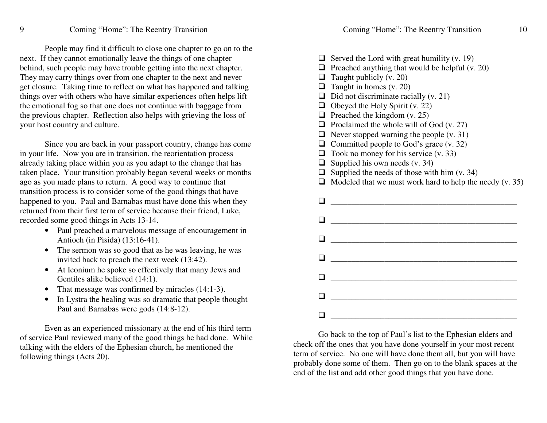People may find it difficult to close one chapter to go on to the next. If they cannot emotionally leave the things of one chapter behind, such people may have trouble getting into the next chapter. They may carry things over from one chapter to the next and never get closure. Taking time to reflect on what has happened and talking things over with others who have similar experiences often helps lift the emotional fog so that one does not continue with baggage from the previous chapter. Reflection also helps with grieving the loss of your host country and culture.

Since you are back in your passport country, change has come in your life. Now you are in transition, the reorientation process already taking place within you as you adapt to the change that has taken place. Your transition probably began several weeks or months ago as you made plans to return. A good way to continue that transition process is to consider some of the good things that have happened to you. Paul and Barnabas must have done this when they returned from their first term of service because their friend, Luke, recorded so meg ood thin gs in Acts 13-14.

- Paul preached a marvelous message of encouragement in Antioch (in Pisida) (13:16-41).
- The sermon was so good that as he was leaving, he was invited back to preach the next week (13:42).
- At Iconium he spoke so effectively that many Jews and Gentiles alike believed (14:1).
- That message was confirmed by miracles (14:1-3).
- In Lystra the healing was so dramatic that people thought Paul and Barnabas were gods (14:8-12).

Even as an experienced missionary at the end of his third term of service Paul reviewed many of the good things he had done. While talking with the elders of the Ephesian church, he mentioned the follo win g thin gs (A cts 2 0).

| $\Box$<br>$\Box$<br>❏<br>$\Box$<br>□<br>$\Box$<br>$\Box$<br>◻<br>$\Box$<br>❏<br>□ | Served the Lord with great humility (v. 19)<br>Preached anything that would be helpful (v. 20)<br>Taught publicly (v. 20)<br>Taught in homes (v. 20)<br>Did not discriminate racially (v. 21)<br>Obeyed the Holy Spirit (v. 22)<br>Preached the kingdom (v. 25)<br>Proclaimed the whole will of God (v. 27)<br>Never stopped warning the people $(v. 31)$<br>Committed people to God's grace (v. 32)<br>Took no money for his service $(v. 33)$ |
|-----------------------------------------------------------------------------------|-------------------------------------------------------------------------------------------------------------------------------------------------------------------------------------------------------------------------------------------------------------------------------------------------------------------------------------------------------------------------------------------------------------------------------------------------|
| $\Box$                                                                            | Supplied his own needs (v. 34)                                                                                                                                                                                                                                                                                                                                                                                                                  |
| $\Box$<br>◻                                                                       | Supplied the needs of those with him $(v. 34)$                                                                                                                                                                                                                                                                                                                                                                                                  |
|                                                                                   | Modeled that we must work hard to help the needy (v. 35)                                                                                                                                                                                                                                                                                                                                                                                        |
|                                                                                   |                                                                                                                                                                                                                                                                                                                                                                                                                                                 |
|                                                                                   |                                                                                                                                                                                                                                                                                                                                                                                                                                                 |
|                                                                                   |                                                                                                                                                                                                                                                                                                                                                                                                                                                 |
|                                                                                   |                                                                                                                                                                                                                                                                                                                                                                                                                                                 |
|                                                                                   |                                                                                                                                                                                                                                                                                                                                                                                                                                                 |
|                                                                                   |                                                                                                                                                                                                                                                                                                                                                                                                                                                 |
|                                                                                   |                                                                                                                                                                                                                                                                                                                                                                                                                                                 |
|                                                                                   |                                                                                                                                                                                                                                                                                                                                                                                                                                                 |
|                                                                                   |                                                                                                                                                                                                                                                                                                                                                                                                                                                 |
|                                                                                   |                                                                                                                                                                                                                                                                                                                                                                                                                                                 |
|                                                                                   |                                                                                                                                                                                                                                                                                                                                                                                                                                                 |

Go back to the top of Paul's list to the Ephesian elders and check off the ones that you have done yourself in your most recent term of service. No one will have done them all, but you will have probably done some of them. Then go on to the blank spaces at the end of the list and add other good things that you have done.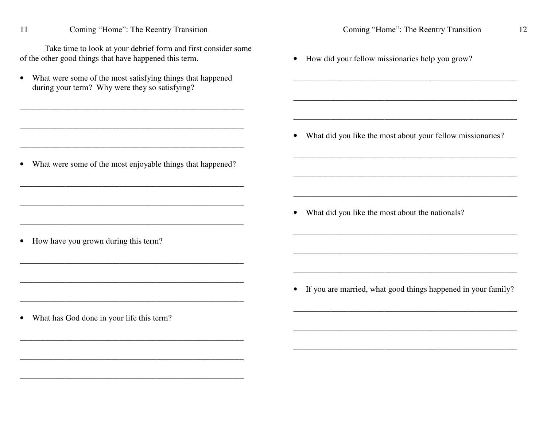Coming "Home": The Reentry Transition 11 Take time to look at your debrief form and first consider some of the other good things that have happened this term.

• What were some of the most satisfying things that happened during your term? Why were they so satisfying?

• What were some of the most enjoyable things that happened?

• How did your fellow missionaries help you grow?

• What did you like the most about your fellow missionaries?

<u> 1989 - Johann John Stone, mars et al. 1989 - John Stone, mars et al. 1989 - John Stone, mars et al. 1989 - J</u>

<u> 1989 - Johann Stoff, amerikansk politiker (d. 1989)</u>

• What did you like the most about the nationals?

• If you are married, what good things happened in your family?

• What has God done in your life this term?

• How have you grown during this term?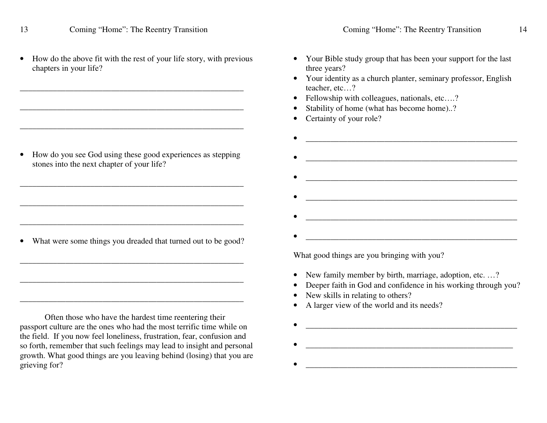13

•• How do the above fit with the rest of your life story, with previous chapters in your life?

\_\_\_\_\_\_\_\_\_\_\_\_\_\_\_\_\_\_\_\_\_\_\_\_\_\_\_\_\_\_\_\_\_\_\_\_\_\_\_\_\_\_\_\_\_\_\_\_\_\_\_\_\_\_

•• How do you see God using these good experiences as stepping stones into the next chapter of your life?

\_\_\_\_\_\_\_\_\_\_\_\_\_\_\_\_\_\_\_\_\_\_\_\_\_\_\_\_\_\_\_\_\_\_\_\_\_\_\_\_\_\_\_\_\_\_\_\_\_\_\_\_\_\_

\_\_\_\_\_\_\_\_\_\_\_\_\_\_\_\_\_\_\_\_\_\_\_\_\_\_\_\_\_\_\_\_\_\_\_\_\_\_\_\_\_\_\_\_\_\_\_\_\_\_\_\_\_\_

• What were some things you dreaded that turned out to be good?

\_\_\_\_\_\_\_\_\_\_\_\_\_\_\_\_\_\_\_\_\_\_\_\_\_\_\_\_\_\_\_\_\_\_\_\_\_\_\_\_\_\_\_\_\_\_\_\_\_\_\_\_\_\_

\_\_\_\_\_\_\_\_\_\_\_\_\_\_\_\_\_\_\_\_\_\_\_\_\_\_\_\_\_\_\_\_\_\_\_\_\_\_\_\_\_\_\_\_\_\_\_\_\_\_\_\_\_\_

\_\_\_\_\_\_\_\_\_\_\_\_\_\_\_\_\_\_\_\_\_\_\_\_\_\_\_\_\_\_\_\_\_\_\_\_\_\_\_\_\_\_\_\_\_\_\_\_\_\_\_\_\_\_

Often those who have the hardest time reentering their passpor<sup>t</sup> culture are the ones who had the most terrific time while on the field. If you now feel loneliness, frustration, fear, confusion and so forth, remember that such feelings may lead to insight and personal growth. What good things are you leaving behind (losing) that you are grieving for?

- Your Bible study group that has been your support for the last three years?
- Your identity as a church planter, seminary professor, English teacher, etc…?
- Fellowship with colleagues, nationals, etc....?
- •Stability of home (what has become home)..?
- •Certainty of your role?

•

•

•

•

 $\bullet$ 

•\_\_\_\_\_\_\_\_\_\_\_\_\_\_\_\_\_\_\_\_\_\_\_\_\_\_\_\_\_\_\_\_\_\_\_\_\_\_\_\_\_\_\_\_\_\_\_\_\_\_\_ •\_\_\_\_\_\_\_\_\_\_\_\_\_\_\_\_\_\_\_\_\_\_\_\_\_\_\_\_\_\_\_\_\_\_\_\_\_\_\_\_\_\_\_\_\_\_\_\_\_\_\_ •\_\_\_\_\_\_\_\_\_\_\_\_\_\_\_\_\_\_\_\_\_\_\_\_\_\_\_\_\_\_\_\_\_\_\_\_\_\_\_\_\_\_\_\_\_\_\_\_\_\_\_ •

What good things are you bringing with you?

- New family member by birth, marriage, adoption, etc. ...?
- •Deeper faith in God and confidence in his working through you?

\_\_\_\_\_\_\_\_\_\_\_\_\_\_\_\_\_\_\_\_\_\_\_\_\_\_\_\_\_\_\_\_\_\_\_\_\_\_\_\_\_\_\_\_\_\_\_\_\_\_\_

\_\_\_\_\_\_\_\_\_\_\_\_\_\_\_\_\_\_\_\_\_\_\_\_\_\_\_\_\_\_\_\_\_\_\_\_\_\_\_\_\_\_\_\_\_\_\_\_\_\_

 $\frac{1}{2}$  ,  $\frac{1}{2}$  ,  $\frac{1}{2}$  ,  $\frac{1}{2}$  ,  $\frac{1}{2}$  ,  $\frac{1}{2}$  ,  $\frac{1}{2}$  ,  $\frac{1}{2}$  ,  $\frac{1}{2}$  ,  $\frac{1}{2}$  ,  $\frac{1}{2}$  ,  $\frac{1}{2}$  ,  $\frac{1}{2}$  ,  $\frac{1}{2}$  ,  $\frac{1}{2}$  ,  $\frac{1}{2}$  ,  $\frac{1}{2}$  ,  $\frac{1}{2}$  ,  $\frac{1$ 

- •• New skills in relating to others?
- •• A larger view of the world and its needs?

Coming "Home": The Reentry Transition 14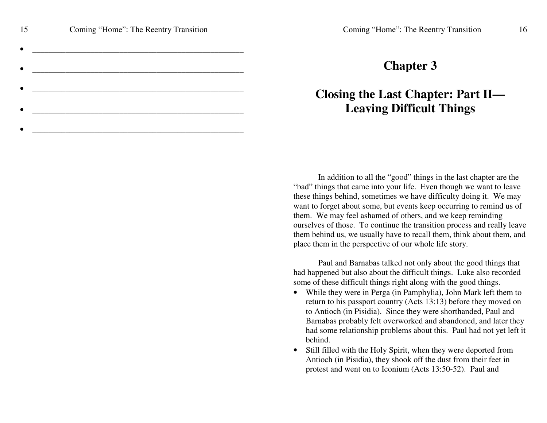| 15 | Coming "Home": The Reentry Transition |
|----|---------------------------------------|
|    |                                       |
|    |                                       |
|    |                                       |
|    |                                       |
|    |                                       |
|    |                                       |

\_\_\_\_\_\_\_\_\_\_\_\_\_\_\_\_\_\_\_\_\_\_\_\_\_\_\_\_\_\_\_\_\_\_\_\_\_\_\_\_\_\_\_\_\_\_\_\_\_\_\_

# **Chapter 3**

# **Closing the Last Chapter: Part II— Leaving Difficult Things**

In addition to all the "good" things in the last chapter are the "bad" things that came into your life. Even though we want to leave these things behind, sometimes we have difficulty doing it. We may want to forget about some, but events keep occurring to remind us of them. We may feel ashamed of others, and we keep reminding ourselves of those. To continue the transition process and really leave them behind us, we usually have to recall them, think about them, and place them in the perspective of our whole life story.

Paul and Barnabas talked not only about the good things that had happened but also about the difficult things. Luke also recorded some of these difficult things right along with the good things.

- While they were in Perga (in Pamphylia), John Mark left them to return to his passpor<sup>t</sup> country (Acts 13:13) before they moved on to Antioch (in Pisidia). Since they were shorthanded, Paul and Barnabas probably felt overworked and abandoned, and later they had some relationship problems about this. Paul had not ye<sup>t</sup> left it behind.
- •• Still filled with the Holy Spirit, when they were deported from Antioch (in Pisidia), they shook off the dust from their feet in protest and went on to Iconium (Acts 13:50-52). Paul and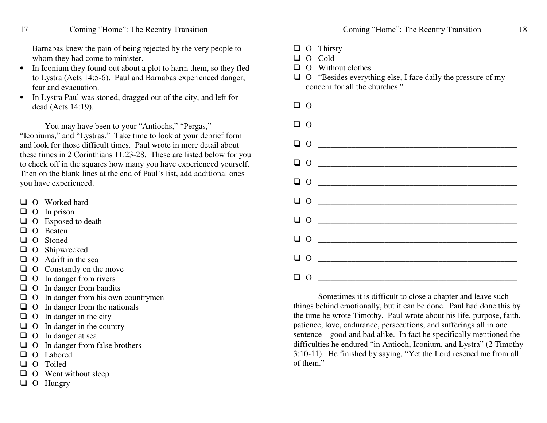#### Coming "Home": The Reentry Transition

Barnabas knew the pain of being rejected by the very people to whom they had come to minister.

- •• In Iconium they found out about a plot to harm them, so they fled to Lystra (Acts 14:5-6). Paul and Barnabas experienced danger, fear and evacuation.
- • In Lystra Paul was stoned, dragged out of the city, and left for dead (Acts 14:19).

You may have been to your "Antiochs," "Pergas," "Iconiums," and "Lystras." Take time to look at your debrief form and look for those difficult times. Paul wrote in more detail about these times in 2 Corinthians 11:23-28. These are listed below for you to check off in the squares how many you have experienced yourself. Then on the blank lines at the end of Paul's list, add additional ones you have experienced.

- **Q** O Worked hard
- $\Box$  O In prison

17

- $\Box$  O Exposed to death
- **Q** O Beaten
- Q O Stoned
- **Q** O Shipwrecked
- $\Box$  O Adrift in the sea
- $\Box$  O Constantly on the move
- **O** In danger from rivers
- **O** In danger from bandits
- $\Box$  O In danger from his own countrymen
- $\Box$  O In danger from the nationals
- $\Box$  O In danger in the city
- $\Box$  O In danger in the country
- **O** In danger at sea
- **Q** O In danger from false brothers
- **Q** O Labored
- **Q** O Toiled
- $\Box$  O Went without sleep
- □ O Hungry
- Coming "Home": The Reentry Transition 18
- **Q** O Thirsty
- □ O Cold
- $\Box$  O Without clothes
- $\Box$  O "Besides everything else, I face daily the pressure of my concern for all the churches."

|  | $\begin{tabular}{ c c c c } \hline $\Box$ & $\mathbf{0}$ & $\mathbf{\hspace{1cm}}$ & $\mathbf{\hspace{1cm}}$ \\ \hline \end{tabular}$                                                                                                                                                                                                                                                                                                                                                                                                   |
|--|-----------------------------------------------------------------------------------------------------------------------------------------------------------------------------------------------------------------------------------------------------------------------------------------------------------------------------------------------------------------------------------------------------------------------------------------------------------------------------------------------------------------------------------------|
|  |                                                                                                                                                                                                                                                                                                                                                                                                                                                                                                                                         |
|  |                                                                                                                                                                                                                                                                                                                                                                                                                                                                                                                                         |
|  | $\begin{tabular}{ c c c c } \hline $\Box$ & $\boldsymbol{0}$ & $\boldsymbol{\hspace{15.8cm}}$ & $\boldsymbol{\hspace{15.8cm}}\mbox{\footnotesize{}}\mbox{\footnotesize{}}$ & $\boldsymbol{0}$ & $\boldsymbol{\hspace{15.8cm}}\mbox{\footnotesize{}}\mbox{\footnotesize{}}$ & $\boldsymbol{0}$ & $\boldsymbol{\hspace{15.8cm}}\mbox{\footnotesize{}}\mbox{\footnotesize{}}$ & $\boldsymbol{0}$ & $\boldsymbol{\hspace{15.8cm}}\mbox{\footnotesize{}}\mbox{\footnotesize{}}\mbox{\footnotesize{}}$ & $\boldsymbol{0}$ & $\boldsymbol{0}$$ |
|  | $\begin{array}{c} \square \;\; 0 \end{array} \begin{array}{c} \begin{array}{c} \square \end{array} \end{array}$                                                                                                                                                                                                                                                                                                                                                                                                                         |
|  |                                                                                                                                                                                                                                                                                                                                                                                                                                                                                                                                         |
|  | $\begin{tabular}{ c c c c } \hline $\bullet$ & $\bullet$ & $\bullet$ & $\bullet$ \\ \hline \end{tabular}$                                                                                                                                                                                                                                                                                                                                                                                                                               |
|  |                                                                                                                                                                                                                                                                                                                                                                                                                                                                                                                                         |
|  |                                                                                                                                                                                                                                                                                                                                                                                                                                                                                                                                         |
|  |                                                                                                                                                                                                                                                                                                                                                                                                                                                                                                                                         |

Sometimes it is difficult to close <sup>a</sup> chapter and leave such things behind emotionally, but it can be done. Paul had done this by the time he wrote Timothy. Paul wrote about his life, purpose, faith, patience, love, endurance, persecutions, and sufferings all in one sentence—good and bad alike. In fact he specifically mentioned the difficulties he endured "in Antioch, Iconium, and Lystra" (2 Timothy 3:10-11). He finished by saying, "Yet the Lord rescued me from all of them."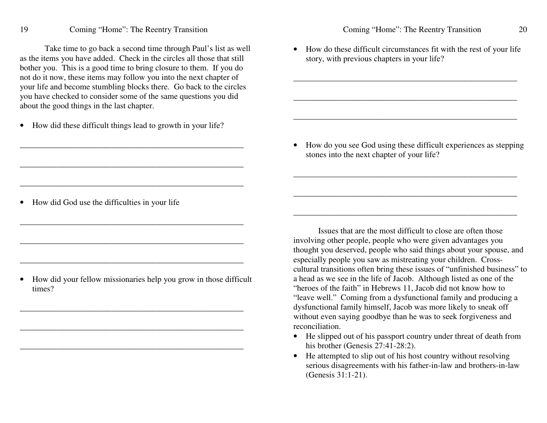Take time to go back <sup>a</sup> second time through Paul's list as well as the items you have added. Check in the circles all those that still bother you. This is <sup>a</sup> good time to bring closure to them. If you do not do it now, these items may follow you into the next chapter of your life and become stumbling blocks there. Go back to the circles you have checked to consider some of the same questions you did about the good things in the last chapter.

 $\bullet$ • How did these difficult things lead to growth in your life?

\_\_\_\_\_\_\_\_\_\_\_\_\_\_\_\_\_\_\_\_\_\_\_\_\_\_\_\_\_\_\_\_\_\_\_\_\_\_\_\_\_\_\_\_\_\_\_\_\_\_\_\_\_\_

\_\_\_\_\_\_\_\_\_\_\_\_\_\_\_\_\_\_\_\_\_\_\_\_\_\_\_\_\_\_\_\_\_\_\_\_\_\_\_\_\_\_\_\_\_\_\_\_\_\_\_\_\_\_

\_\_\_\_\_\_\_\_\_\_\_\_\_\_\_\_\_\_\_\_\_\_\_\_\_\_\_\_\_\_\_\_\_\_\_\_\_\_\_\_\_\_\_\_\_\_\_\_\_\_\_\_\_\_

\_\_\_\_\_\_\_\_\_\_\_\_\_\_\_\_\_\_\_\_\_\_\_\_\_\_\_\_\_\_\_\_\_\_\_\_\_\_\_\_\_\_\_\_\_\_\_\_\_\_\_\_\_\_

\_\_\_\_\_\_\_\_\_\_\_\_\_\_\_\_\_\_\_\_\_\_\_\_\_\_\_\_\_\_\_\_\_\_\_\_\_\_\_\_\_\_\_\_\_\_\_\_\_\_\_\_\_\_

• How did God use the difficulties in your life

• How did your fellow missionaries help you grow in those difficult times?

\_\_\_\_\_\_\_\_\_\_\_\_\_\_\_\_\_\_\_\_\_\_\_\_\_\_\_\_\_\_\_\_\_\_\_\_\_\_\_\_\_\_\_\_\_\_\_\_\_\_\_\_\_\_

\_\_\_\_\_\_\_\_\_\_\_\_\_\_\_\_\_\_\_\_\_\_\_\_\_\_\_\_\_\_\_\_\_\_\_\_\_\_\_\_\_\_\_\_\_\_\_\_\_\_\_\_\_\_

\_\_\_\_\_\_\_\_\_\_\_\_\_\_\_\_\_\_\_\_\_\_\_\_\_\_\_\_\_\_\_\_\_\_\_\_\_\_\_\_\_\_\_\_\_\_\_\_\_\_\_\_\_\_

• How do these difficult circumstances fit with the rest of your life story, with previous chapters in your life?

\_\_\_\_\_\_\_\_\_\_\_\_\_\_\_\_\_\_\_\_\_\_\_\_\_\_\_\_\_\_\_\_\_\_\_\_\_\_\_\_\_\_\_\_\_\_\_\_\_\_\_\_\_\_

\_\_\_\_\_\_\_\_\_\_\_\_\_\_\_\_\_\_\_\_\_\_\_\_\_\_\_\_\_\_\_\_\_\_\_\_\_\_\_\_\_\_\_\_\_\_\_\_\_\_\_\_\_\_

• How do you see God using these difficult experiences as stepping stones into the next chapter of your life?

\_\_\_\_\_\_\_\_\_\_\_\_\_\_\_\_\_\_\_\_\_\_\_\_\_\_\_\_\_\_\_\_\_\_\_\_\_\_\_\_\_\_\_\_\_\_\_\_\_\_\_\_\_\_

\_\_\_\_\_\_\_\_\_\_\_\_\_\_\_\_\_\_\_\_\_\_\_\_\_\_\_\_\_\_\_\_\_\_\_\_\_\_\_\_\_\_\_\_\_\_\_\_\_\_\_\_\_\_

Issues that are the most difficult to close are often those involving other people, people who were given advantages you thought you deserved, people who said things about your spouse, and especially people you saw as mistreating your children. Crosscultural transitions often bring these issues of "unfinished business" to a head as we see in the life of Jacob. Although listed as one of the "heroes of the faith" in Hebrews 11, Jacob did not know how to "leave well." Coming from <sup>a</sup> dysfunctional family and producing <sup>a</sup> dysfunctional family himself, Jacob was more likely to sneak off without even saying goodbye than he was to seek forgiveness and reconciliation.

- He slipped out of his passport country under threat of death from his brother (Genesis 27:41-28:2).
- He attempted to slip out of his host country without resolving serious disagreements with his father-in-law and brothers-in-law (Genesis 31:1-21).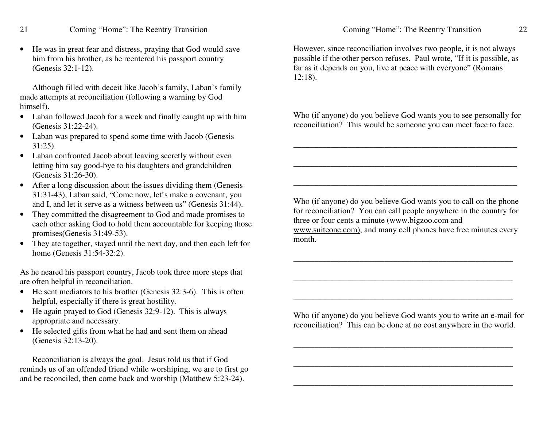• He was in grea<sup>t</sup> fear and distress, praying that God would save him from his brother, as he reentered his passpor<sup>t</sup> country (Genesis 32:1-12).

Although filled with deceit like Jacob's family, Laban's family made attempts at reconciliation (following <sup>a</sup> warning by God himself).

- Laban followed Jacob for a week and finally caught up with him (Genesis 31:22-24).
- Laban was prepared to spend some time with Jacob (Genesis 31:25).
- Laban confronted Jacob about leaving secretly without even letting him say good-bye to his daughters and grandchildren (Genesis 31:26-30).
- After a long discussion about the issues dividing them (Genesis 31:31-43), Laban said, "Come now, let's make <sup>a</sup> covenant, you and I, and let it serve as <sup>a</sup> witness between us" (Genesis 31:44).
- They committed the disagreement to God and made promises to each other asking God to hold them accountable for keeping those promises(Genesis 31:49-53).
- • They ate together, stayed until the next day, and then each left for home (Genesis 31:54-32:2).

As he neared his passpor<sup>t</sup> country, Jacob took three more steps that are often helpful in reconciliation.

- He sent mediators to his brother (Genesis 32:3-6). This is often helpful, especially if there is grea<sup>t</sup> hostility.
- He again prayed to God (Genesis 32:9-12). This is always appropriate and necessary.
- He selected gifts from what he had and sent them on ahead (Genesis 32:13-20).

Reconciliation is always the goal. Jesus told us that if God reminds us of an offended friend while worshiping, we are to first go and be reconciled, then come back and worship (Matthew 5:23-24).

However, since reconciliation involves two people, it is not always possible if the other person refuses. Paul wrote, "If it is possible, as far as it depends on you, live at peace with everyone" (Romans 12:18).

Who (if anyone) do you believe God wants you to see personally for reconciliation? This would be someone you can meet face to face.

\_\_\_\_\_\_\_\_\_\_\_\_\_\_\_\_\_\_\_\_\_\_\_\_\_\_\_\_\_\_\_\_\_\_\_\_\_\_\_\_\_\_\_\_\_\_\_\_\_\_\_\_\_\_

\_\_\_\_\_\_\_\_\_\_\_\_\_\_\_\_\_\_\_\_\_\_\_\_\_\_\_\_\_\_\_\_\_\_\_\_\_\_\_\_\_\_\_\_\_\_\_\_\_\_\_\_\_\_

Who (if anyone) do you believe God wants you to call on the phone for reconciliation? You can call people anywhere in the country for three or four cents a minute (www.bigzoo.com and www.suiteone.com), and many cell phones have free minutes every

\_\_\_\_\_\_\_\_\_\_\_\_\_\_\_\_\_\_\_\_\_\_\_\_\_\_\_\_\_\_\_\_\_\_\_\_\_\_\_\_\_\_\_\_\_\_\_\_\_\_\_\_\_

month.

Who (if anyone) do you believe God wants you to write an e-mail for reconciliation? This can be done at no cost anywhere in the world.

\_\_\_\_\_\_\_\_\_\_\_\_\_\_\_\_\_\_\_\_\_\_\_\_\_\_\_\_\_\_\_\_\_\_\_\_\_\_\_\_\_\_\_\_\_\_\_\_\_\_\_\_\_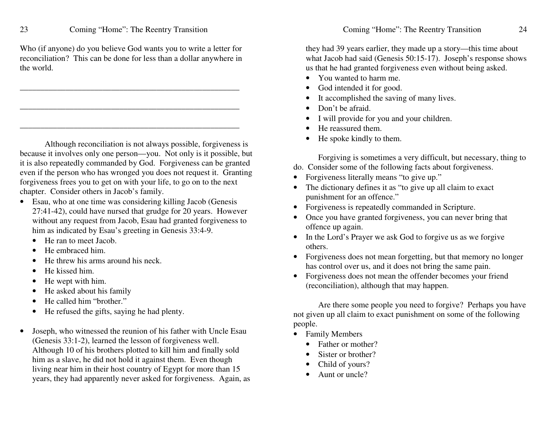23

Who (if anyone) do you believe God wants you to write a letter for reconciliation? This can be done for less than a dollar anywhere in the world.

Although reconciliation is not always possible, forgiveness is because it involves only one person—you. Not only is it possible, but it is also repeatedly commanded by God. Forgiveness can be granted even if the person who has wronged you does not request it. Granting forgiveness frees you to get on with your life, to go on to the next c h a pter. C o nsid er oth ers in Ja c o b's fa mily.

\_\_\_\_\_\_\_\_\_\_\_\_\_\_\_\_\_\_\_\_\_\_\_\_\_\_\_\_\_\_\_\_\_\_\_\_\_\_\_\_\_\_\_\_\_\_\_\_\_\_\_\_\_

- Esau, who at one time was considering killing Jacob (Genesis 2 7:41-4 2), <sup>c</sup> o uld h a v e n urse d th at gru d g e for 2 0 y e ars. Ho we v er without any request from Jacob, Esau had granted forgiveness to him as indicated by Esau's greeting in Genesis 33:4-9.
	- •• He ran to meet Jacob.
	- • $\bullet$  He embraced him.
	- •• He threw his arms around his neck.
	- •• He kissed him.
	- •• He wept with him.
	- •• He asked about his family
	- •• He called him "brother."
	- •• He refused the gifts, saying he had plenty.
- •• Joseph, who witnessed the reunion of his father with Uncle Esau (Genesis 33:1-2), learned the lesson of forgiveness well. Although 10 of his brothers plotted to kill him and finally sold him as a slave, he did not hold it against them. Even though living near him in their host country of Egypt for more than 15 y e ars, th e y h a d a p p are ntly n e v er ask e d for forgiv e n ess. Ag ain, as

they had 39 years earlier, they made up a story—this time about what Jacob had said (Genesis 50:15-17). Joseph's response shows us that he had granted forgiveness even without being asked.

- You wanted to harm me.
- •• God intended it for good.
- •• It accomplished the saving of many lives.
- •• Don't be afraid.
- I will provide for you and your children.
- •• He reassured them.
- •• He spoke kindly to them.

Forgiving is sometimes a very difficult, but necessary, thing to d o. Co nsid er so me of th e follo win g fa cts a b o ut forgiv e n ess.

- Forgiveness literally means "to give up."
- The dictionary defines it as "to give up all claim to exact punishment for an offence."
- Forgiveness is repeatedly commanded in Scripture.
- $\bullet$  O Once you have granted forgiveness, you can never bring that offence up again.
- In the Lord's Prayer we ask God to forgive us as we forgive others.
- Forgiveness does not mean forgetting, but that memory no longer has control over us, and it does not bring the same pain.
- Forgiveness does not mean the offender becomes your friend (reconciliation), although that may happen.

Are there some people you need to forgive? Perhaps you have not given up all claim to exact punishment on some of the following people.

- Family Members
	- Father or mother?
	- •• Sister or brother?
	- •• Child of yours?
	- •• Aunt or uncle?

24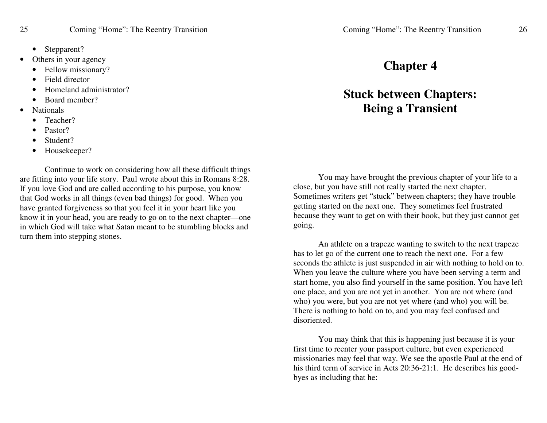- •Stepparent?
- •• Others in your agency
	- •• Fellow missionary?
	- •• Field director
	- •• Homeland administrator?
	- •• Board member?
- • Nationals
	- •Teacher?
	- •Pastor?
	- •Student?
	- •Housekeeper?

Continue to work on considering how all these difficult things are fitting into your life story. Paul wrote about this in Romans 8:28. If you love God and are called according to his purpose, you know that God works in all things (even bad things) for good. When you have granted forgiveness so that you feel it in your heart like you know it in your head, you are ready to go on to the next chapter—one in which God will take what Satan meant to be stumbling blocks and turn them into stepping stones.

## **Chapter 4**

# **Stuck between Chapters: Being <sup>a</sup> Transient**

You may have brought the previous chapter of your life to <sup>a</sup> close, but you have still not really started the next chapter. Sometimes writers ge<sup>t</sup> "stuck" between chapters; they have trouble getting started on the next one. They sometimes feel frustrated because they want to ge<sup>t</sup> on with their book, but they just cannot ge<sup>t</sup> going.

An athlete on <sup>a</sup> trapeze wanting to switch to the next trapeze has to let go of the current one to reach the next one. For <sup>a</sup> few seconds the athlete is just suspended in air with nothing to hold on to. When you leave the culture where you have been serving <sup>a</sup> term and start home, you also find yourself in the same position. You have left one place, and you are not ye<sup>t</sup> in another. You are not where (and who) you were, but you are not ye<sup>t</sup> where (and who) you will be. There is nothing to hold on to, and you may feel confused and disoriented.

You may think that this is happening just because it is your first time to reenter your passpor<sup>t</sup> culture, but even experienced missionaries may feel that way. We see the apostle Paul at the end of his third term of service in Acts 20:36-21:1. He describes his goodbyes as including that he: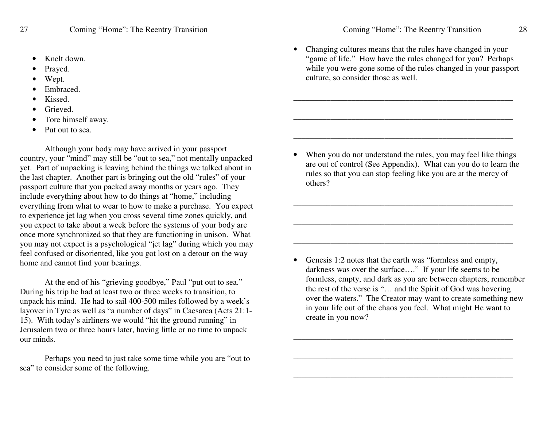- •Knelt down.
- •Prayed.
- •Wept.
- •Embraced.
- •Kissed.
- •Grieved.
- •Tore himself away.
- •• Put out to sea.

Although your body may have arrived in your passpor<sup>t</sup> country, your "mind" may still be "out to sea," not mentally unpacked yet. Part of unpacking is leaving behind the things we talked about in the last chapter. Another par<sup>t</sup> is bringing out the old "rules" of your passpor<sup>t</sup> culture that you packed away months or years ago. They include everything about how to do things at "home," including everything from what to wear to how to make <sup>a</sup> purchase. You expec<sup>t</sup> to experience jet lag when you cross several time zones quickly, and you expec<sup>t</sup> to take about <sup>a</sup> week before the systems of your body are once more synchronized so that they are functioning in unison. What you may not expec<sup>t</sup> is <sup>a</sup> psychological "jet lag" during which you may feel confused or disoriented, like you go<sup>t</sup> lost on <sup>a</sup> detour on the way home and cannot find your bearings.

At the end of his "grieving goodbye," Paul "put out to sea." During his trip he had at least two or three weeks to transition, to unpack his mind. He had to sail 400-500 miles followed by <sup>a</sup> week's layover in Tyre as well as "a number of days" in Caesarea (Acts 21:1- 15). With today's airliners we would "hit the ground running" in Jerusalem two or three hours later, having little or no time to unpack our minds.

Perhaps you need to just take some time while you are "out to sea" to consider some of the following.

• Changing cultures means that the rules have changed in your "game of life." How have the rules changed for you? Perhaps while you were gone some of the rules changed in your passpor<sup>t</sup> culture, so consider those as well.

\_\_\_\_\_\_\_\_\_\_\_\_\_\_\_\_\_\_\_\_\_\_\_\_\_\_\_\_\_\_\_\_\_\_\_\_\_\_\_\_\_\_\_\_\_\_\_\_\_\_\_\_\_

\_\_\_\_\_\_\_\_\_\_\_\_\_\_\_\_\_\_\_\_\_\_\_\_\_\_\_\_\_\_\_\_\_\_\_\_\_\_\_\_\_\_\_\_\_\_\_\_\_\_\_\_\_

\_\_\_\_\_\_\_\_\_\_\_\_\_\_\_\_\_\_\_\_\_\_\_\_\_\_\_\_\_\_\_\_\_\_\_\_\_\_\_\_\_\_\_\_\_\_\_\_\_\_\_\_\_

• When you do not understand the rules, you may feel like things are out of control (See Appendix). What can you do to learn the rules so that you can stop feeling like you are at the mercy of others?

\_\_\_\_\_\_\_\_\_\_\_\_\_\_\_\_\_\_\_\_\_\_\_\_\_\_\_\_\_\_\_\_\_\_\_\_\_\_\_\_\_\_\_\_\_\_\_\_\_\_\_\_\_

\_\_\_\_\_\_\_\_\_\_\_\_\_\_\_\_\_\_\_\_\_\_\_\_\_\_\_\_\_\_\_\_\_\_\_\_\_\_\_\_\_\_\_\_\_\_\_\_\_\_\_\_\_

• Genesis 1:2 notes that the earth was "formless and empty, darkness was over the surface…." If your life seems to be formless, empty, and dark as you are between chapters, remember the rest of the verse is "… and the Spirit of God was hovering over the waters." The Creator may want to create something new in your life out of the chaos you feel. What might He want to create in you now?

\_\_\_\_\_\_\_\_\_\_\_\_\_\_\_\_\_\_\_\_\_\_\_\_\_\_\_\_\_\_\_\_\_\_\_\_\_\_\_\_\_\_\_\_\_\_\_\_\_\_\_\_\_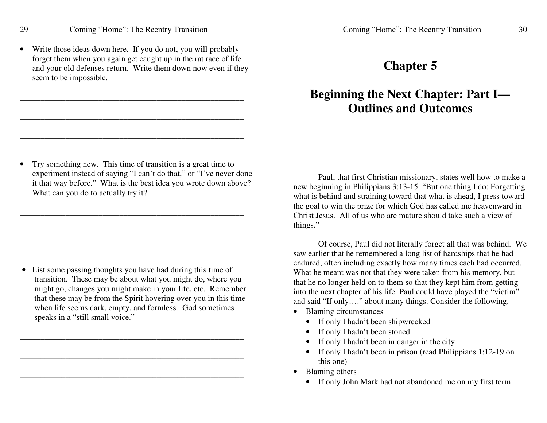• Write those ideas down here. If you do not, you will probably forget them when you again ge<sup>t</sup> caught up in the rat race of life and your old defenses return. Write them down now even if they seem to be impossible.

\_\_\_\_\_\_\_\_\_\_\_\_\_\_\_\_\_\_\_\_\_\_\_\_\_\_\_\_\_\_\_\_\_\_\_\_\_\_\_\_\_\_\_\_\_\_\_\_\_\_\_\_\_\_

\_\_\_\_\_\_\_\_\_\_\_\_\_\_\_\_\_\_\_\_\_\_\_\_\_\_\_\_\_\_\_\_\_\_\_\_\_\_\_\_\_\_\_\_\_\_\_\_\_\_\_\_\_\_

\_\_\_\_\_\_\_\_\_\_\_\_\_\_\_\_\_\_\_\_\_\_\_\_\_\_\_\_\_\_\_\_\_\_\_\_\_\_\_\_\_\_\_\_\_\_\_\_\_\_\_\_\_\_

• Try something new. This time of transition is <sup>a</sup> grea<sup>t</sup> time to experiment instead of saying "I can't do that," or "I've never done it that way before." What is the best idea you wrote down above? What can you do to actually try it?

\_\_\_\_\_\_\_\_\_\_\_\_\_\_\_\_\_\_\_\_\_\_\_\_\_\_\_\_\_\_\_\_\_\_\_\_\_\_\_\_\_\_\_\_\_\_\_\_\_\_\_\_\_\_

\_\_\_\_\_\_\_\_\_\_\_\_\_\_\_\_\_\_\_\_\_\_\_\_\_\_\_\_\_\_\_\_\_\_\_\_\_\_\_\_\_\_\_\_\_\_\_\_\_\_\_\_\_\_

\_\_\_\_\_\_\_\_\_\_\_\_\_\_\_\_\_\_\_\_\_\_\_\_\_\_\_\_\_\_\_\_\_\_\_\_\_\_\_\_\_\_\_\_\_\_\_\_\_\_\_\_\_\_

• List some passing thoughts you have had during this time of transition. These may be about what you might do, where you might go, changes you might make in your life, etc. Remember that these may be from the Spirit hovering over you in this time when life seems dark, empty, and formless. God sometimes speaks in <sup>a</sup> "still small voice."

\_\_\_\_\_\_\_\_\_\_\_\_\_\_\_\_\_\_\_\_\_\_\_\_\_\_\_\_\_\_\_\_\_\_\_\_\_\_\_\_\_\_\_\_\_\_\_\_\_\_\_\_\_\_

\_\_\_\_\_\_\_\_\_\_\_\_\_\_\_\_\_\_\_\_\_\_\_\_\_\_\_\_\_\_\_\_\_\_\_\_\_\_\_\_\_\_\_\_\_\_\_\_\_\_\_\_\_\_

## **Chapter 5**

# **Beginning the Next Chapter: Part I— Outlines and Outcomes**

Paul, that first Christian missionary, states well how to make <sup>a</sup> new beginning in Philippians 3:13-15. "But one thing I do: Forgetting what is behind and straining toward that what is ahead, I press toward the goal to win the prize for which God has called me heavenward in Christ Jesus. All of us who are mature should take such <sup>a</sup> view of things."

Of course, Paul did not literally forget all that was behind. We saw earlier that he remembered <sup>a</sup> long list of hardships that he had endured, often including exactly how many times each had occurred. What he meant was not that they were taken from his memory, but that he no longer held on to them so that they kept him from getting into the next chapter of his life. Paul could have played the "victim" and said "If only…." about many things. Consider the following.

- Blaming circumstances
	- If only I hadn't been shipwrecked
	- If only I hadn't been stoned
	- •If only I hadn't been in danger in the city
	- If only I hadn't been in prison (read Philippians 1:12-19 on this one)
- Blaming others
	- If only John Mark had not abandoned me on my first term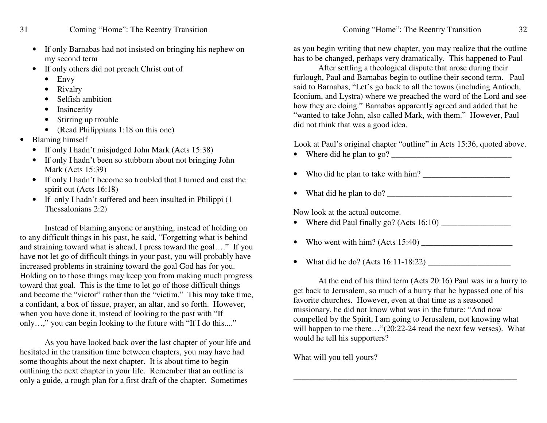- •• If only Barnabas had not insisted on bringing his nephew on m y se c o n d term
- If only others did not preach Christ out of
	- Envy
	- Rivalry
	- •• Selfish ambition
	- •• Insincerity
	- •• Stirring up trouble
	- (Read Philippians 1:18 on this one)
- •• Blaming himself
	- •• If only I hadn't misjudged John Mark (Acts 15:38)
	- If only I hadn't been so stubborn about not bringing John M ark (A cts 15:3 9)
	- If only I hadn't become so troubled that I turned and cast the spirit <sup>o</sup> ut (A cts 16:18)
	- If only I hadn't suffered and been insulted in Philippi (1) Thessalonians 2:2)

Instead of blaming anyone or anything, instead of holding on to any difficult things in his past, he said, "Forgetting what is behind and straining toward what is ahead, I press toward the goal...." If you have not let go of difficult things in your past, you will probably have in cre ase d pro ble ms in strainin g to w ard th e g o al G o d h as for y o u. Holding on to those things may keep you from making much progress toward that goal. This is the time to let go of those difficult things and become the "victor" rather than the "victim." This may take time, a confidant, a box of tissue, prayer, an altar, and so forth. However, when you have done it, instead of looking to the past with "If only...," you can begin looking to the future with "If I do this...."

As you have looked back over the last chapter of your life and hesitated in the transition time between chapters, you may have had some thoughts about the next chapter. It is about time to begin outlining the next chapter in your life. Remember that an outline is only a guide, a rough plan for a first draft of the chapter. Sometimes

as you begin writing that new chapter, you may realize that the outline has to be changed, perhaps very dramatically. This happened to Paul

After settling a theological dispute that arose during their furlough, Paul and Barnabas begin to outline their second term. Paul said to Barnabas, "Let's go back to all the towns (including Antioch, Iconium, and Lystra) where we preached the word of the Lord and see how they are doing." Barnabas apparently agreed and added that he "wanted to take John, also called Mark, with them." However, Paul did not think that was a good idea.

Look at Paul's original chapter "outline" in Acts 15:36, quoted above.

- W h ere did h e pla n to g o? \_\_\_\_\_\_\_\_\_\_\_\_\_\_\_\_\_\_\_\_\_\_\_\_\_\_\_\_\_
- W h o did h e pla n to ta k e with him? \_\_\_\_\_\_\_\_\_\_\_\_\_\_\_\_\_\_\_\_\_
- What did he plan to do?  $\frac{1}{2}$  measurement of  $\frac{1}{2}$  measurement of  $\frac{1}{2}$

Now look at the actual outcome.

- W h ere did P a ul fin ally g o? (A cts 16:10) \_\_\_\_\_\_\_\_\_\_\_\_\_\_\_\_\_
- W h o w e nt with him? (A cts 15:4 0) \_\_\_\_\_\_\_\_\_\_\_\_\_\_\_\_\_\_\_\_\_\_
- W h at did h e d o? (A cts 16:11-18:2 2) \_\_\_\_\_\_\_\_\_\_\_\_\_\_\_\_\_\_\_\_

At th e e n d of his third term (A cts 2 0:16) P a ul w as in a h urry to g et b a c k to Jerusale m, so mu c h of a h urry th at h e b y p asse d o n e of his favorite churches. However, even at that time as a seasoned missionary, he did not know what was in the future: "And now compelled by the Spirit, I am going to Jerusalem, not knowing what will happen to me there..."(20:22-24 read the next few verses). What wo uld h e tell his su p p orters?

\_\_\_\_\_\_\_\_\_\_\_\_\_\_\_\_\_\_\_\_\_\_\_\_\_\_\_\_\_\_\_\_\_\_\_\_\_\_\_\_\_\_\_\_\_\_\_\_\_\_\_\_\_\_

What will you tell yours?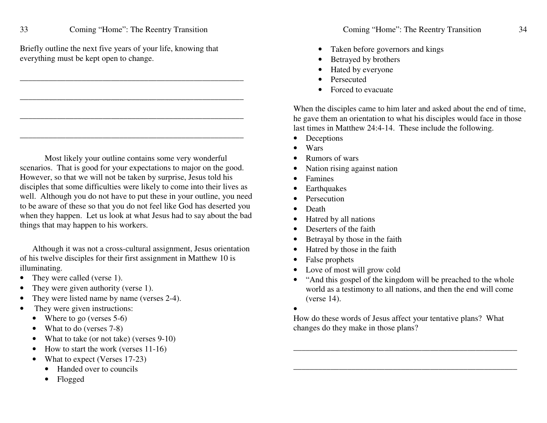Briefly outline the next five years of your life, knowing that everything must be kept open to change.

\_\_\_\_\_\_\_\_\_\_\_\_\_\_\_\_\_\_\_\_\_\_\_\_\_\_\_\_\_\_\_\_\_\_\_\_\_\_\_\_\_\_\_\_\_\_\_\_\_\_\_\_\_\_

\_\_\_\_\_\_\_\_\_\_\_\_\_\_\_\_\_\_\_\_\_\_\_\_\_\_\_\_\_\_\_\_\_\_\_\_\_\_\_\_\_\_\_\_\_\_\_\_\_\_\_\_\_\_

\_\_\_\_\_\_\_\_\_\_\_\_\_\_\_\_\_\_\_\_\_\_\_\_\_\_\_\_\_\_\_\_\_\_\_\_\_\_\_\_\_\_\_\_\_\_\_\_\_\_\_\_\_\_

Most likely your outline contains some very wonderful scenarios. That is good for your expectations to major on the good. However, so that we will not be taken by surprise, Jesus told his disciples that some difficulties were likely to come into their lives as well. Although you do not have to pu<sup>t</sup> these in your outline, you need to be aware of these so that you do not feel like God has deserted you when they happen. Let us look at what Jesus had to say about the bad things that may happen to his workers.

Although it was not <sup>a</sup> cross-cultural assignment, Jesus orientation of his twelve disciples for their first assignment in Matthew 10 is illuminating.

- •They were called (verse 1).
- •They were given authority (verse 1).
- •They were listed name by name (verses 2-4).
- • They were given instructions:
	- Where to go (verses 5-6)
	- $\bullet$ • What to do (verses 7-8)
	- •• What to take (or not take) (verses 9-10)
	- •• How to start the work (verses 11-16)
	- •• What to expect (Verses 17-23)
		- Handed over to councils
		- •Flogged
- •• Taken before governors and kings
- •Betrayed by brothers
- •• Hated by everyone
- •Persecuted
- •• Forced to evacuate

When the disciples came to him later and asked about the end of time, he gave them an orientation to what his disciples would face in those last times in Matthew 24:4-14. These include the following.

- Deceptions
- •Wars
- •Rumors of wars
- •• Nation rising against nation
- •Famines
- •Earthquakes
- •Persecution
- •Death
- •• Hatred by all nations
- •Deserters of the faith
- •Betrayal by those in the faith
- •• Hatred by those in the faith
- •False prophets
- $\bullet$ Love of most will grow cold
- "And this gospel of the kingdom will be preached to the whole world as <sup>a</sup> testimony to all nations, and then the end will come (verse 14).

•

How do these words of Jesus affect your tentative plans? What changes do they make in those plans?

\_\_\_\_\_\_\_\_\_\_\_\_\_\_\_\_\_\_\_\_\_\_\_\_\_\_\_\_\_\_\_\_\_\_\_\_\_\_\_\_\_\_\_\_\_\_\_\_\_\_\_\_\_\_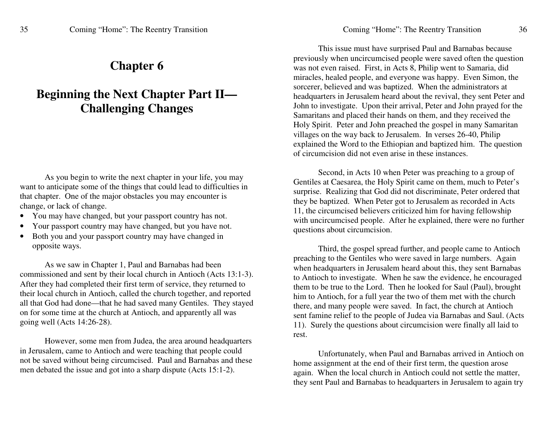## **Chapter 6**

# **Beginning the Next Chapter Part II— Challenging Changes**

As you begin to write the next chapter in your life, you may want to anticipate some of the things that could lead to difficulties in that chapter. One of the major obstacles you may encounter is change, or lack of change.

- •• You may have changed, but your passport country has not.
- •• Your passport country may have changed, but you have not.
- •• Both you and your passport country may have changed in o p p osite w a ys.

As we saw in Chapter 1, Paul and Barnabas had been commissioned and sent by their local church in Antioch (Acts 13:1-3). After they had completed their first term of service, they returned to their local church in Antioch, called the church together, and reported all that God had done—that he had saved many Gentiles. They stayed on for some time at the church at Antioch, and apparently all was g oin g w ell (A cts 14:2 6-2 8).

However, some men from Judea, the area around headquarters in Jerusalem, came to Antioch and were teaching that people could not be saved without being circumcised. Paul and Barnabas and these me n d e b ate d th e issu e a n d g ot into a sh arp disp ute (A cts 15:1-2).

This issue must have surprised Paul and Barnabas because previously when uncircumcised people were saved often the question was not even raised. First, in Acts 8, Philip went to Samaria, did miracles, healed people, and everyone was happy. Even Simon, the sorcerer, believed and was baptized. When the administrators at headquarters in Jerusalem heard about the revival, they sent Peter and John to investigate. Upon their arrival, Peter and John prayed for the Samaritans and placed their hands on them, and they received the Holy Spirit. Peter and John preached the gospel in many Samaritan villa g es o n th e w a y b a c k to Jerusale m. In v erses 2 6-4 0, P hilip explained the Word to the Ethiopian and baptized him. The question of circumcision did not even arise in these instances.

Second, in Acts 10 when Peter was preaching to a group of Gentiles at Caesarea, the Holy Spirit came on them, much to Peter's surprise. Realizing that God did not discriminate, Peter ordered that they be baptized. When Peter got to Jerusalem as recorded in Acts 11, th e circ u mcise d b elie v ers criticiz e d him for h a vin g fello wship with uncircumcised people. After he explained, there were no further questions about circumcision.

Third, the gospel spread further, and people came to Antioch preaching to the Gentiles who were saved in large numbers. Again when headquarters in Jerusalem heard about this, they sent Barnabas to Antioch to investigate. When he saw the evidence, he encouraged them to be true to the Lord. Then he looked for Saul (Paul), brought him to Antioch, for a full year the two of them met with the church there, and many people were saved. In fact, the church at Antioch sent famine relief to the people of Judea via Barnabas and Saul. (Acts 11). S urely th e q u estio ns a b o ut circ u m cisio n w ere fin ally all laid to rest.

Unfortunately, when Paul and Barnabas arrived in Antioch on home assignment at the end of their first term, the question arose again. When the local church in Antioch could not settle the matter, they sent Paul and Barnabas to headquarters in Jerusalem to again try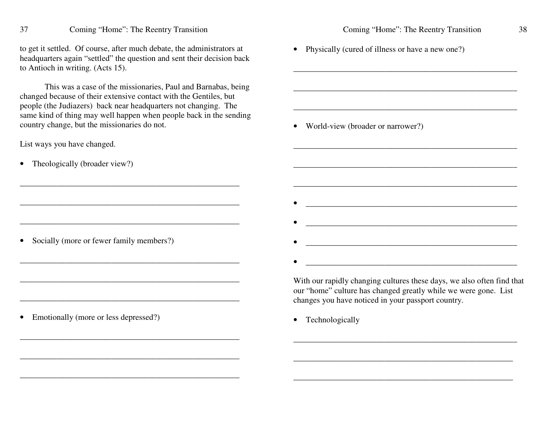Coming "Home": The Reentry Transition

to ge<sup>t</sup> it settled. Of course, after much debate, the administrators at headquarters again "settled" the question and sent their decision back to Antioch in writing. (Acts 15).

This was a case of the missionaries, Paul and Barnabas, being changed because of their extensive contact with the Gentiles, but people (the Judiazers) back near headquarters not changing. The same kind of thing may well happen when people back in the sending country change, but the missionaries do not.

\_\_\_\_\_\_\_\_\_\_\_\_\_\_\_\_\_\_\_\_\_\_\_\_\_\_\_\_\_\_\_\_\_\_\_\_\_\_\_\_\_\_\_\_\_\_\_\_\_\_\_\_\_

\_\_\_\_\_\_\_\_\_\_\_\_\_\_\_\_\_\_\_\_\_\_\_\_\_\_\_\_\_\_\_\_\_\_\_\_\_\_\_\_\_\_\_\_\_\_\_\_\_\_\_\_\_

\_\_\_\_\_\_\_\_\_\_\_\_\_\_\_\_\_\_\_\_\_\_\_\_\_\_\_\_\_\_\_\_\_\_\_\_\_\_\_\_\_\_\_\_\_\_\_\_\_\_\_\_\_

\_\_\_\_\_\_\_\_\_\_\_\_\_\_\_\_\_\_\_\_\_\_\_\_\_\_\_\_\_\_\_\_\_\_\_\_\_\_\_\_\_\_\_\_\_\_\_\_\_\_\_\_\_

\_\_\_\_\_\_\_\_\_\_\_\_\_\_\_\_\_\_\_\_\_\_\_\_\_\_\_\_\_\_\_\_\_\_\_\_\_\_\_\_\_\_\_\_\_\_\_\_\_\_\_\_\_

\_\_\_\_\_\_\_\_\_\_\_\_\_\_\_\_\_\_\_\_\_\_\_\_\_\_\_\_\_\_\_\_\_\_\_\_\_\_\_\_\_\_\_\_\_\_\_\_\_\_\_\_\_

\_\_\_\_\_\_\_\_\_\_\_\_\_\_\_\_\_\_\_\_\_\_\_\_\_\_\_\_\_\_\_\_\_\_\_\_\_\_\_\_\_\_\_\_\_\_\_\_\_\_\_\_\_

List ways you have changed.

• Theologically (broader view?)

• Socially (more or fewer family members?)

 $\bullet$ Emotionally (more or less depressed?) \_\_\_\_\_\_\_\_\_\_\_\_\_\_\_\_\_\_\_\_\_\_\_\_\_\_\_\_\_\_\_\_\_\_\_\_\_\_\_\_\_\_\_\_\_\_\_\_\_\_\_\_\_\_

\_\_\_\_\_\_\_\_\_\_\_\_\_\_\_\_\_\_\_\_\_\_\_\_\_\_\_\_\_\_\_\_\_\_\_\_\_\_\_\_\_\_\_\_\_\_\_\_\_\_\_\_\_\_

\_\_\_\_\_\_\_\_\_\_\_\_\_\_\_\_\_\_\_\_\_\_\_\_\_\_\_\_\_\_\_\_\_\_\_\_\_\_\_\_\_\_\_\_\_\_\_\_\_\_\_\_\_\_

\_\_\_\_\_\_\_\_\_\_\_\_\_\_\_\_\_\_\_\_\_\_\_\_\_\_\_\_\_\_\_\_\_\_\_\_\_\_\_\_\_\_\_\_\_\_\_\_\_\_\_\_\_\_

\_\_\_\_\_\_\_\_\_\_\_\_\_\_\_\_\_\_\_\_\_\_\_\_\_\_\_\_\_\_\_\_\_\_\_\_\_\_\_\_\_\_\_\_\_\_\_\_\_\_\_\_\_\_

\_\_\_\_\_\_\_\_\_\_\_\_\_\_\_\_\_\_\_\_\_\_\_\_\_\_\_\_\_\_\_\_\_\_\_\_\_\_\_\_\_\_\_\_\_\_\_\_\_\_\_

 $\frac{1}{2}$  ,  $\frac{1}{2}$  ,  $\frac{1}{2}$  ,  $\frac{1}{2}$  ,  $\frac{1}{2}$  ,  $\frac{1}{2}$  ,  $\frac{1}{2}$  ,  $\frac{1}{2}$  ,  $\frac{1}{2}$  ,  $\frac{1}{2}$  ,  $\frac{1}{2}$  ,  $\frac{1}{2}$  ,  $\frac{1}{2}$  ,  $\frac{1}{2}$  ,  $\frac{1}{2}$  ,  $\frac{1}{2}$  ,  $\frac{1}{2}$  ,  $\frac{1}{2}$  ,  $\frac{1$ 

• Physically (cured of illness or have a new one?)

• World-view (broader or narrower?)

With our rapidly changing cultures these days, we also often find that our "home" culture has changed greatly while we were gone. List changes you have noticed in your passpor<sup>t</sup> country.

\_\_\_\_\_\_\_\_\_\_\_\_\_\_\_\_\_\_\_\_\_\_\_\_\_\_\_\_\_\_\_\_\_\_\_\_\_\_\_\_\_\_\_\_\_\_\_\_\_\_\_\_\_\_

\_\_\_\_\_\_\_\_\_\_\_\_\_\_\_\_\_\_\_\_\_\_\_\_\_\_\_\_\_\_\_\_\_\_\_\_\_\_\_\_\_\_\_\_\_\_\_\_\_\_\_\_\_

\_\_\_\_\_\_\_\_\_\_\_\_\_\_\_\_\_\_\_\_\_\_\_\_\_\_\_\_\_\_\_\_\_\_\_\_\_\_\_\_\_\_\_\_\_\_\_\_\_\_\_\_\_

• Technologically

•

•

•

•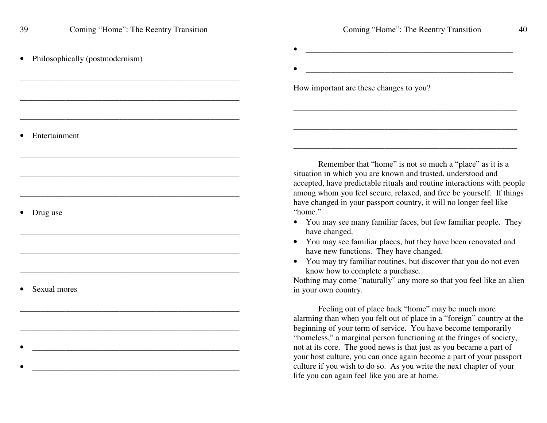\_\_\_\_\_\_\_\_\_\_\_\_\_\_\_\_\_\_\_\_\_\_\_\_\_\_\_\_\_\_\_\_\_\_\_\_\_\_\_\_\_\_\_\_\_\_\_\_\_\_\_\_\_

\_\_\_\_\_\_\_\_\_\_\_\_\_\_\_\_\_\_\_\_\_\_\_\_\_\_\_\_\_\_\_\_\_\_\_\_\_\_\_\_\_\_\_\_\_\_\_\_\_\_\_\_\_

\_\_\_\_\_\_\_\_\_\_\_\_\_\_\_\_\_\_\_\_\_\_\_\_\_\_\_\_\_\_\_\_\_\_\_\_\_\_\_\_\_\_\_\_\_\_\_\_\_\_\_\_\_

\_\_\_\_\_\_\_\_\_\_\_\_\_\_\_\_\_\_\_\_\_\_\_\_\_\_\_\_\_\_\_\_\_\_\_\_\_\_\_\_\_\_\_\_\_\_\_\_\_\_\_\_\_

\_\_\_\_\_\_\_\_\_\_\_\_\_\_\_\_\_\_\_\_\_\_\_\_\_\_\_\_\_\_\_\_\_\_\_\_\_\_\_\_\_\_\_\_\_\_\_\_\_\_\_\_\_

\_\_\_\_\_\_\_\_\_\_\_\_\_\_\_\_\_\_\_\_\_\_\_\_\_\_\_\_\_\_\_\_\_\_\_\_\_\_\_\_\_\_\_\_\_\_\_\_\_\_\_\_\_

 $\mathcal{L}_\mathcal{L}$  , and the set of the set of the set of the set of the set of the set of the set of the set of the set of the set of the set of the set of the set of the set of the set of the set of the set of the set of th

\_\_\_\_\_\_\_\_\_\_\_\_\_\_\_\_\_\_\_\_\_\_\_\_\_\_\_\_\_\_\_\_\_\_\_\_\_\_\_\_\_\_\_\_\_\_\_\_\_\_

\_\_\_\_\_\_\_\_\_\_\_\_\_\_\_\_\_\_\_\_\_\_\_\_\_\_\_\_\_\_\_\_\_\_\_\_\_\_\_\_\_\_\_\_\_\_\_\_\_\_

\_\_\_\_\_\_\_\_\_\_\_\_\_\_\_\_\_\_\_\_\_\_\_\_\_\_\_\_\_\_\_\_\_\_\_\_\_\_\_\_\_\_\_\_\_\_\_\_\_\_\_\_\_

•Philosophically (postmodernism) \_\_\_\_\_\_\_\_\_\_\_\_\_\_\_\_\_\_\_\_\_\_\_\_\_\_\_\_\_\_\_\_\_\_\_\_\_\_\_\_\_\_\_\_\_\_\_\_\_\_

\_\_\_\_\_\_\_\_\_\_\_\_\_\_\_\_\_\_\_\_\_\_\_\_\_\_\_\_\_\_\_\_\_\_\_\_\_\_\_\_\_\_\_\_\_\_\_\_\_\_

\_\_\_\_\_\_\_\_\_\_\_\_\_\_\_\_\_\_\_\_\_\_\_\_\_\_\_\_\_\_\_\_\_\_\_\_\_\_\_\_\_\_\_\_\_\_\_\_\_\_\_\_\_\_

\_\_\_\_\_\_\_\_\_\_\_\_\_\_\_\_\_\_\_\_\_\_\_\_\_\_\_\_\_\_\_\_\_\_\_\_\_\_\_\_\_\_\_\_\_\_\_\_\_\_\_\_\_\_

How important are these changes to you?

•

•

• Entertainment

• Drug use

•Sexual mores

•

•

Remember that "home" is not so much <sup>a</sup> "place" as it is <sup>a</sup> situation in which you are known and trusted, understood and accepted, have predictable rituals and routine interactions with people among whom you feel secure, relaxed, and free be yourself. If things have changed in your passpor<sup>t</sup> country, it will no longer feel like "home."

- You may see many familiar faces, but few familiar people. They have changed.
- You may see familiar places, but they have been renovated and have new functions. They have changed.
- You may try familiar routines, but discover that you do not even know how to complete <sup>a</sup> purchase.

Nothing may come "naturally" any more so that you feel like an alien in your own country.

Feeling out of place back "home" may be much more alarming than when you felt out of place in <sup>a</sup> "foreign" country at the beginning of your term of service. You have become temporarily "homeless," <sup>a</sup> marginal person functioning at the fringes of society, not at its core. The good news is that just as you became <sup>a</sup> par<sup>t</sup> of your host culture, you can once again become <sup>a</sup> par<sup>t</sup> of your passpor<sup>t</sup> culture if you wish to do so. As you write the next chapter of your life you can again feel like you are at home.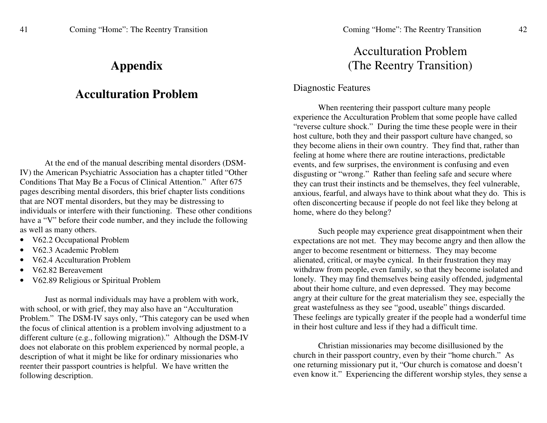## **A p p e n dix**

#### **AcculturationProblem**

At the end of the manual describing mental disorders (DSM-IV) the American Psychiatric Association has a chapter titled "Other Conditions That May Be a Focus of Clinical Attention." After 675 pages describing mental disorders, this brief chapter lists conditions that are NOT mental disorders, but they may be distressing to individuals or interfere with their functioning. These other conditions have a "V" before their code number, and they include the following as w ell as m a n y oth ers.

- V62.2 Occupational Problem
- •• V62.3 Academic Problem
- •• V62.4 Acculturation Problem
- •• V62.82 Bereavement
- •• V62.89 Religious or Spiritual Problem

Just as normal individuals may have a problem with work, with school, or with grief, they may also have an "Acculturation Problem." The DSM-IV says only, "This category can be used when the focus of clinical attention is a problem involving adjustment to a different culture (e.g., following migration)." Although the DSM-IV does not elaborate on this problem experienced by normal people, a d escriptio n of w h at it mig ht b e lik e for ordin ary missio n aries w h o reenter their passport countries is helpful. We have written the follo win g d escriptio n.

# Acculturation Problem (The Reentry Transition)

#### Diagnostic Features

When reentering their passport culture many people experience the Acculturation Problem that some people have called "reverse culture shock." During the time these people were in their host culture, both they and their passport culture have changed, so they become aliens in their own country. They find that, rather than feeling at home where there are routine interactions, predictable events, and few surprises, the environment is confusing and even disgusting or "wrong." Rather than feeling safe and secure where they can trust their instincts and be themselves, they feel vulnerable, anxious, fearful, and always have to think about what they do. This is often disconcerting because if people do not feel like they belong at home, where do they belong?

Such people may experience great disappointment when their expectations are not met. They may become angry and then allow the anger to become resentment or bitterness. They may become alienated, critical, or maybe cynical. In their frustration they may withdraw from people, even family, so that they become isolated and lonely. They may find themselves being easily offended, judgmental about their home culture, and even depressed. They may become angry at their culture for the great materialism they see, especially the great wastefulness as they see ''good, useable'' things discarded. These feelings are typically greater if the people had a wonderful time in th eir h ost c ulture a n d less if th e y h a d a diffic ult time.

Christian missionaries may become disillusioned by the c h urc h in th eir p assp ort c o u ntry, <sup>e</sup> v e n b y th eir "h o me c h urc h." As o n e returnin g missio n ary p ut it, "O ur c h urc h is <sup>c</sup> o m atose a n d d o esn't even know it." Experiencing the different worship styles, they sense a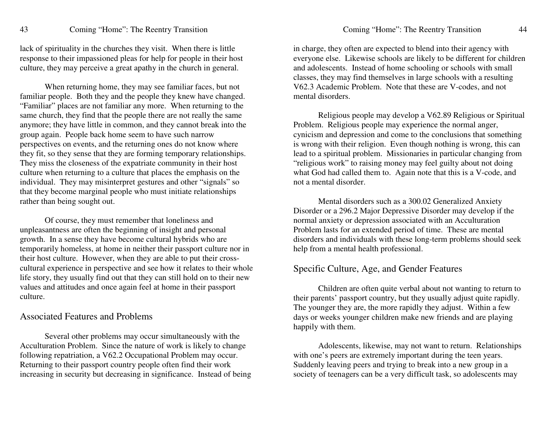lack of spirituality in the churches they visit. When there is little response to their impassioned pleas for help for people in their host culture, they may perceive <sup>a</sup> grea<sup>t</sup> apathy in the church in general.

When returning home, they may see familiar faces, but not familiar people. Both they and the people they knew have changed. "Familiar" places are not familiar any more. When returning to the same church, they find that the people there are not really the same anymore; they have little in common, and they cannot break into the group again. People back home seem to have such narrow perspectives on events, and the returning ones do not know where they fit, so they sense that they are forming temporary relationships. They miss the closeness of the expatriate community in their host culture when returning to <sup>a</sup> culture that places the emphasis on the individual. They may misinterpret gestures and other "signals" so that they become marginal people who must initiate relationships rather than being sought out.

Of course, they must remember that loneliness and unpleasantness are often the beginning of insight and personal growth. In <sup>a</sup> sense they have become cultural hybrids who are temporarily homeless, at home in neither their passpor<sup>t</sup> culture nor in their host culture. However, when they are able to pu<sup>t</sup> their crosscultural experience in perspective and see how it relates to their whole life story, they usually find out that they can still hold on to their new values and attitudes and once again feel at home in their passpor<sup>t</sup> culture.

#### Associated Features and Problems

Several other problems may occur simultaneously with the Acculturation Problem. Since the nature of work is likely to change following repatriation, <sup>a</sup> V62.2 Occupational Problem may occur. Returning to their passpor<sup>t</sup> country people often find their work increasing in security but decreasing in significance. Instead of being

in charge, they often are expected to blend into their agency with everyone else. Likewise schools are likely to be different for children and adolescents. Instead of home schooling or schools with small classes, they may find themselves in large schools with <sup>a</sup> resulting V62.3 Academic Problem. Note that these are V-codes, and not mental disorders.

Religious people may develop <sup>a</sup> V62.89 Religious or Spiritual Problem. Religious people may experience the normal anger, cynicism and depression and come to the conclusions that something is wrong with their religion. Even though nothing is wrong, this can lead to <sup>a</sup> spiritual problem. Missionaries in particular changing from "religious work" to raising money may feel guilty about not doing what God had called them to. Again note that this is <sup>a</sup> V-code, and not a mental disorder.

Mental disorders such as <sup>a</sup> 300.02 Generalized Anxiety Disorder or a 296.2 Major Depressive Disorder may develop if the normal anxiety or depression associated with an Acculturation Problem lasts for an extended period of time. These are mental disorders and individuals with these long-term problems should seek help from <sup>a</sup> mental health professional.

#### Specific Culture, Age, and Gender Features

Children are often quite verbal about not wanting to return to their parents' passpor<sup>t</sup> country, but they usually adjust quite rapidly. The younger they are, the more rapidly they adjust. Within <sup>a</sup> few days or weeks younger children make new friends and are playing happily with them.

Adolescents, likewise, may not want to return. Relationships with one's peers are extremely important during the teen years. Suddenly leaving peers and trying to break into <sup>a</sup> new group in <sup>a</sup> society of teenagers can be <sup>a</sup> very difficult task, so adolescents may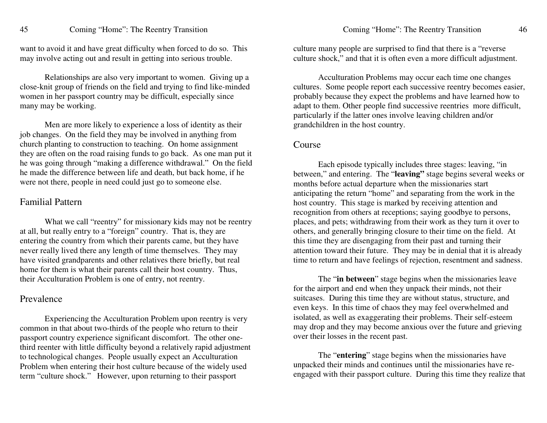want to avoid it and have grea<sup>t</sup> difficulty when forced to do so. This may involve acting out and result in getting into serious trouble.

Relationships are also very important to women. Giving up <sup>a</sup> close-knit group of friends on the field and trying to find like-minded women in her passpor<sup>t</sup> country may be difficult, especially since many may be working.

Men are more likely to experience <sup>a</sup> loss of identity as their job changes. On the field they may be involved in anything from church planting to construction to teaching. On home assignment they are often on the road raising funds to go back. As one man pu<sup>t</sup> it he was going through "making <sup>a</sup> difference withdrawal." On the field he made the difference between life and death, but back home, if he were not there, people in need could just go to someone else.

#### Familial Pattern

What we call "reentry" for missionary kids may not be reentry at all, but really entry to <sup>a</sup> "foreign" country. That is, they are entering the country from which their parents came, but they have never really lived there any length of time themselves. They may have visited grandparents and other relatives there briefly, but real home for them is what their parents call their host country. Thus, their Acculturation Problem is one of entry, not reentry.

#### Prevalence

Experiencing the Acculturation Problem upon reentry is very common in that about two-thirds of the people who return to their passpor<sup>t</sup> country experience significant discomfort. The other onethird reenter with little difficulty beyond <sup>a</sup> relatively rapid adjustment to technological changes. People usually expec<sup>t</sup> an Acculturation Problem when entering their host culture because of the widely used term "culture shock." However, upon returning to their passpor<sup>t</sup>

culture many people are surprised to find that there is <sup>a</sup> "reverse culture shock," and that it is often even <sup>a</sup> more difficult adjustment.

Acculturation Problems may occur each time one changes cultures. Some people repor<sup>t</sup> each successive reentry becomes easier, probably because they expec<sup>t</sup> the problems and have learned how to adapt to them. Other people find successive reentries more difficult, particularly if the latter ones involve leaving children and/or grandchildren in the host country.

#### Course

Each episode typically includes three stages: leaving, "in between," and entering. The "**leaving"** stage begins several weeks or months before actual departure when the missionaries start anticipating the return "home" and separating from the work in the host country. This stage is marked by receiving attention and recognition from others at receptions; saying goodbye to persons, places, and pets; withdrawing from their work as they turn it over to others, and generally bringing closure to their time on the field. At this time they are disengaging from their pas<sup>t</sup> and turning their attention toward their future. They may be in denial that it is already time to return and have feelings of rejection, resentment and sadness.

The "**in between**" stage begins when the missionaries leave for the airport and end when they unpack their minds, not their suitcases. During this time they are without status, structure, and even keys. In this time of chaos they may feel overwhelmed and isolated, as well as exaggerating their problems. Their self-esteem may drop and they may become anxious over the future and grieving over their losses in the recent past.

The "**entering**" stage begins when the missionaries have unpacked their minds and continues until the missionaries have reengaged with their passpor<sup>t</sup> culture. During this time they realize that